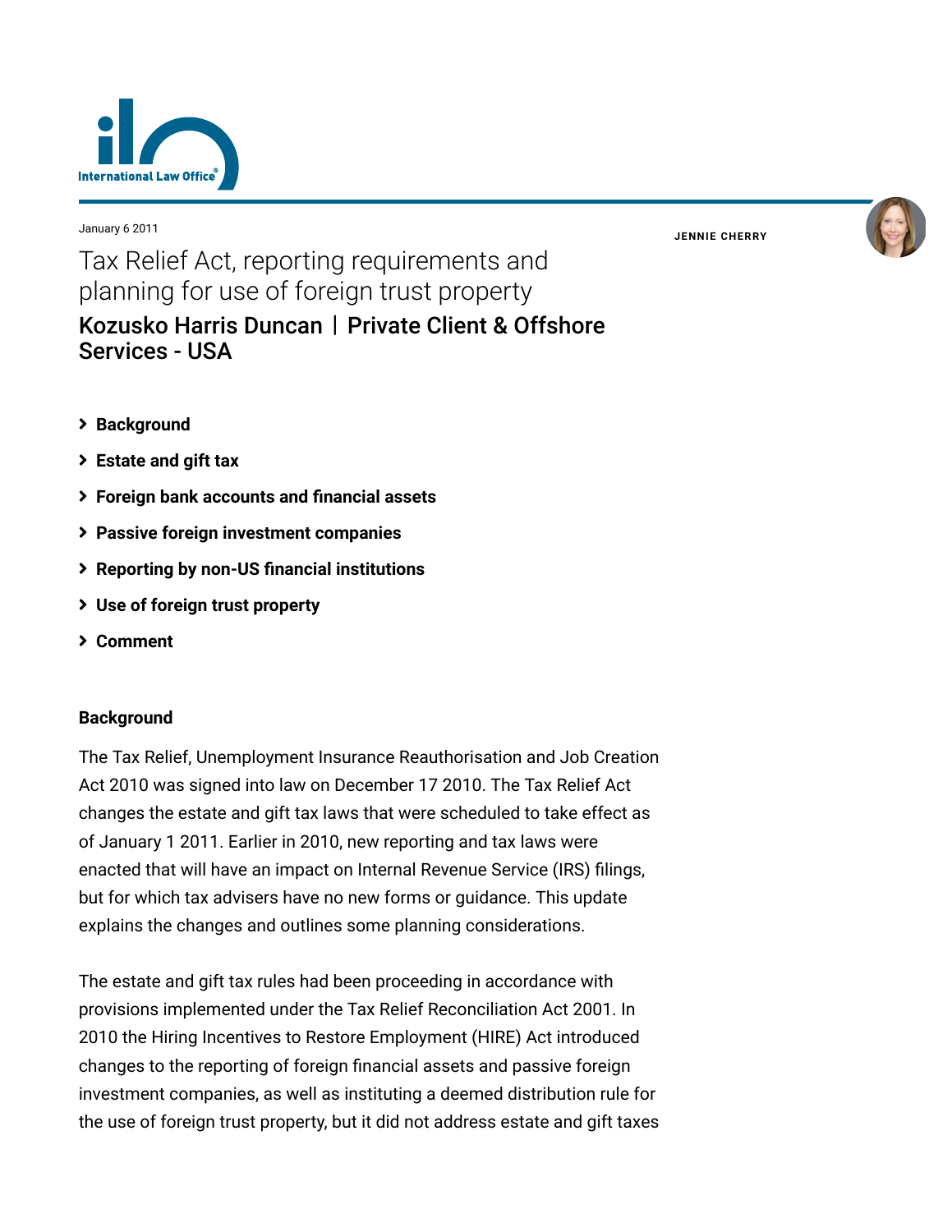

January 6 2011

**JENNIE [CHERRY](https://www.lexology.com/23364/author/Jennie_Cherry/)**



# Tax Relief Act, reporting requirements and planning for use of foreign trust property [Kozusko Harris Duncan](https://www.lexology.com/contributors/23364) | Private Client & Offshore Services - USA

- **[Background](#page-0-0)**
- **[Estate and gift tax](#page-0-1)**
- **[Foreign bank accounts and financial assets](#page-2-0)**
- **[Passive foreign investment companies](#page-2-0)**
- **[Reporting by non-US financial institutions](#page-2-1)**
- **[Use of foreign trust property](#page-3-0)**
- **[Comment](#page-3-0)**

## <span id="page-0-0"></span>**Background**

<span id="page-0-1"></span>The Tax Relief, Unemployment Insurance Reauthorisation and Job Creation Act 2010 was signed into law on December 17 2010. The Tax Relief Act changes the estate and gift tax laws that were scheduled to take effect as of January 1 2011. Earlier in 2010, new reporting and tax laws were enacted that will have an impact on Internal Revenue Service (IRS) filings, but for which tax advisers have no new forms or guidance. This update explains the changes and outlines some planning considerations.

The estate and gift tax rules had been proceeding in accordance with provisions implemented under the Tax Relief Reconciliation Act 2001. In 2010 the Hiring Incentives to Restore Employment (HIRE) Act introduced changes to the reporting of foreign financial assets and passive foreign investment companies, as well as instituting a deemed distribution rule for the use of foreign trust property, but it did not address estate and gift taxes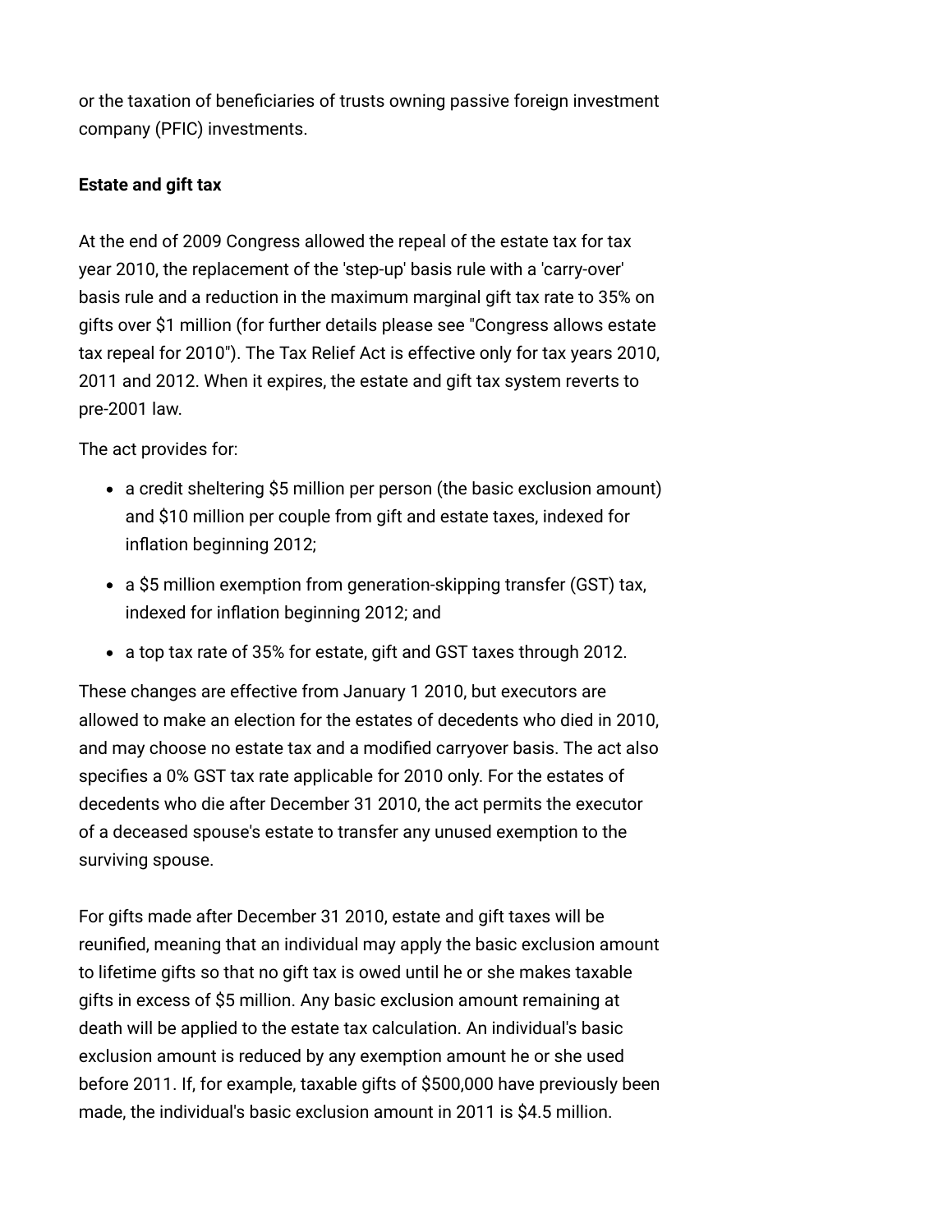or the taxation of beneficiaries of trusts owning passive foreign investment company (PFIC) investments.

# **Estate and gift tax**

At the end of 2009 Congress allowed the repeal of the estate tax for tax year 2010, the replacement of the 'step-up' basis rule with a 'carry-over' basis rule and a reduction in the maximum marginal gift tax rate to 35% on gifts over \$1 million (for further details please see "Congress allows estate [tax repeal for 2010"\). The Tax Relief Act is effective only for tax years 2010,](http://www.internationallawoffice.com/newsletters/Detail.aspx?g=fb9f3d89-b25e-4bd9-ad6b-ecf517aa2f9f) 2011 and 2012. When it expires, the estate and gift tax system reverts to pre-2001 law.

The act provides for:

- a credit sheltering \$5 million per person (the basic exclusion amount) and \$10 million per couple from gift and estate taxes, indexed for inflation beginning 2012;
- a \$5 million exemption from generation-skipping transfer (GST) tax, indexed for inflation beginning 2012; and
- a top tax rate of 35% for estate, gift and GST taxes through 2012.

These changes are effective from January 1 2010, but executors are allowed to make an election for the estates of decedents who died in 2010, and may choose no estate tax and a modified carryover basis. The act also specifies a 0% GST tax rate applicable for 2010 only. For the estates of decedents who die after December 31 2010, the act permits the executor of a deceased spouse's estate to transfer any unused exemption to the surviving spouse.

For gifts made after December 31 2010, estate and gift taxes will be reunified, meaning that an individual may apply the basic exclusion amount to lifetime gifts so that no gift tax is owed until he or she makes taxable gifts in excess of \$5 million. Any basic exclusion amount remaining at death will be applied to the estate tax calculation. An individual's basic exclusion amount is reduced by any exemption amount he or she used before 2011. If, for example, taxable gifts of \$500,000 have previously been made, the individual's basic exclusion amount in 2011 is \$4.5 million.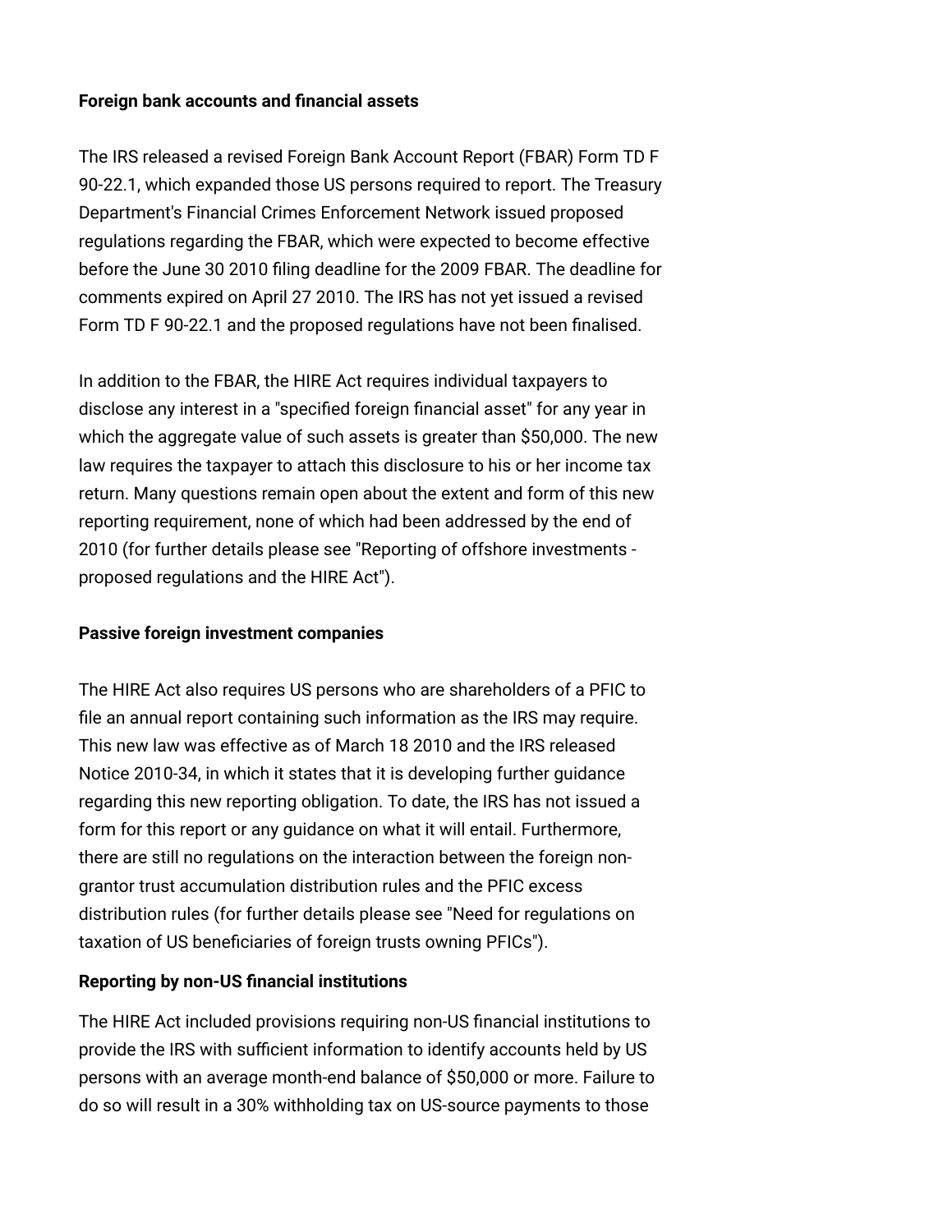#### <span id="page-2-0"></span>**Foreign bank accounts and financial assets**

The IRS released a revised Foreign Bank Account Report (FBAR) Form TD F 90-22.1, which expanded those US persons required to report. The Treasury Department's Financial Crimes Enforcement Network issued proposed regulations regarding the FBAR, which were expected to become effective before the June 30 2010 filing deadline for the 2009 FBAR. The deadline for comments expired on April 27 2010. The IRS has not yet issued a revised Form TD F 90-22.1 and the proposed regulations have not been finalised.

In addition to the FBAR, the HIRE Act requires individual taxpayers to disclose any interest in a "specified foreign financial asset" for any year in which the aggregate value of such assets is greater than \$50,000. The new law requires the taxpayer to attach this disclosure to his or her income tax return. Many questions remain open about the extent and form of this new reporting requirement, none of which had been addressed by the end of [2010 \(for further details please see "Reporting of offshore investments](http://www.internationallawoffice.com/newsletters/Detail.aspx?g=8ef13c29-ba12-4824-85ab-bde320468b1d)  proposed regulations and the HIRE Act").

#### **Passive foreign investment companies**

The HIRE Act also requires US persons who are shareholders of a PFIC to file an annual report containing such information as the IRS may require. This new law was effective as of March 18 2010 and the IRS released Notice 2010-34, in which it states that it is developing further guidance regarding this new reporting obligation. To date, the IRS has not issued a form for this report or any guidance on what it will entail. Furthermore, there are still no regulations on the interaction between the foreign nongrantor trust accumulation distribution rules and the PFIC excess [distribution rules \(for further details please see "Need for regulations on](http://www.internationallawoffice.com/Newsletters/Detail.aspx?g=97989fd6-b0e7-474c-a31c-77bc0d48c3b7) taxation of US beneficiaries of foreign trusts owning PFICs").

## <span id="page-2-1"></span>**Reporting by non-US financial institutions**

The HIRE Act included provisions requiring non-US financial institutions to provide the IRS with sufficient information to identify accounts held by US persons with an average month-end balance of \$50,000 or more. Failure to do so will result in a 30% withholding tax on US-source payments to those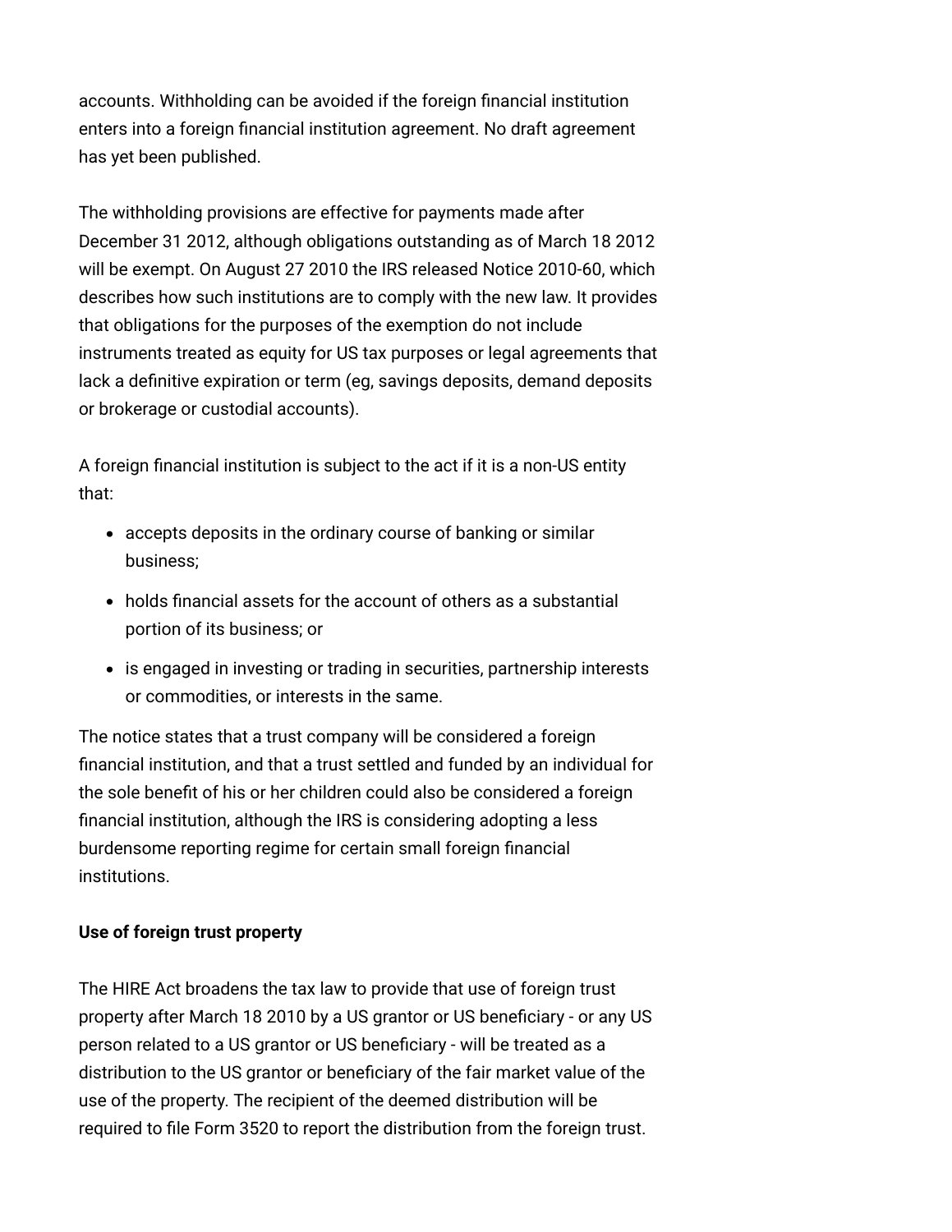accounts. Withholding can be avoided if the foreign financial institution enters into a foreign financial institution agreement. No draft agreement has yet been published.

The withholding provisions are effective for payments made after December 31 2012, although obligations outstanding as of March 18 2012 will be exempt. On August 27 2010 the IRS released Notice 2010-60, which describes how such institutions are to comply with the new law. It provides that obligations for the purposes of the exemption do not include instruments treated as equity for US tax purposes or legal agreements that lack a definitive expiration or term (eg, savings deposits, demand deposits or brokerage or custodial accounts).

A foreign financial institution is subject to the act if it is a non-US entity that:

- accepts deposits in the ordinary course of banking or similar business;
- holds financial assets for the account of others as a substantial portion of its business; or
- is engaged in investing or trading in securities, partnership interests or commodities, or interests in the same.

<span id="page-3-0"></span>The notice states that a trust company will be considered a foreign financial institution, and that a trust settled and funded by an individual for the sole benefit of his or her children could also be considered a foreign financial institution, although the IRS is considering adopting a less burdensome reporting regime for certain small foreign financial institutions.

# **Use of foreign trust property**

The HIRE Act broadens the tax law to provide that use of foreign trust property after March 18 2010 by a US grantor or US beneficiary - or any US person related to a US grantor or US beneficiary - will be treated as a distribution to the US grantor or beneficiary of the fair market value of the use of the property. The recipient of the deemed distribution will be required to file Form 3520 to report the distribution from the foreign trust.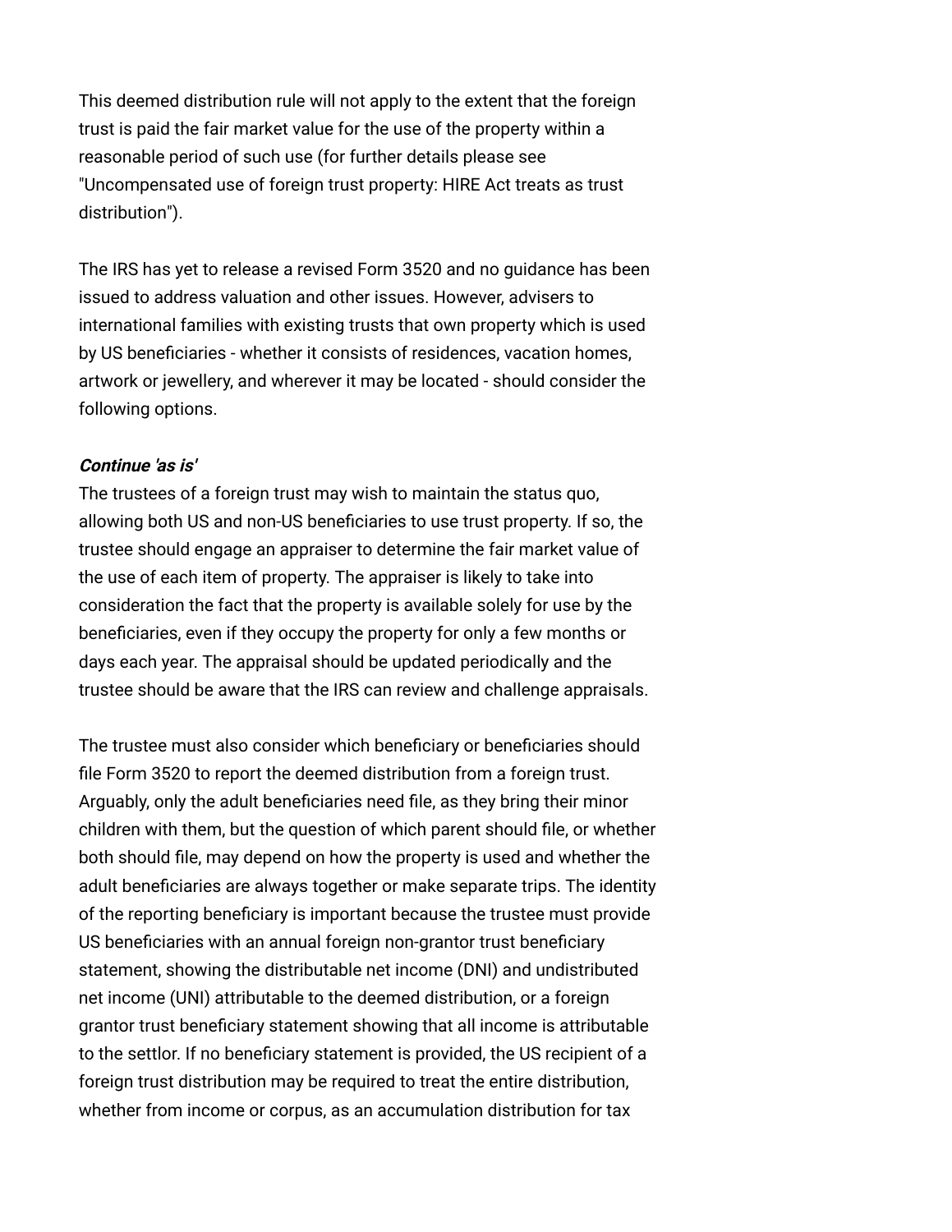This deemed distribution rule will not apply to the extent that the foreign trust is paid the fair market value for the use of the property within a reasonable period of such use (for further details please see ["Uncompensated use of foreign trust property: HIRE Act treats as trust](http://www.internationallawoffice.com/Newsletters/Detail.aspx?g=46d346e0-12b9-46c8-8437-902fca9e068b) distribution").

The IRS has yet to release a revised Form 3520 and no guidance has been issued to address valuation and other issues. However, advisers to international families with existing trusts that own property which is used by US beneficiaries - whether it consists of residences, vacation homes, artwork or jewellery, and wherever it may be located - should consider the following options.

#### **Continue 'as is'**

The trustees of a foreign trust may wish to maintain the status quo, allowing both US and non-US beneficiaries to use trust property. If so, the trustee should engage an appraiser to determine the fair market value of the use of each item of property. The appraiser is likely to take into consideration the fact that the property is available solely for use by the beneficiaries, even if they occupy the property for only a few months or days each year. The appraisal should be updated periodically and the trustee should be aware that the IRS can review and challenge appraisals.

The trustee must also consider which beneficiary or beneficiaries should file Form 3520 to report the deemed distribution from a foreign trust. Arguably, only the adult beneficiaries need file, as they bring their minor children with them, but the question of which parent should file, or whether both should file, may depend on how the property is used and whether the adult beneficiaries are always together or make separate trips. The identity of the reporting beneficiary is important because the trustee must provide US beneficiaries with an annual foreign non-grantor trust beneficiary statement, showing the distributable net income (DNI) and undistributed net income (UNI) attributable to the deemed distribution, or a foreign grantor trust beneficiary statement showing that all income is attributable to the settlor. If no beneficiary statement is provided, the US recipient of a foreign trust distribution may be required to treat the entire distribution, whether from income or corpus, as an accumulation distribution for tax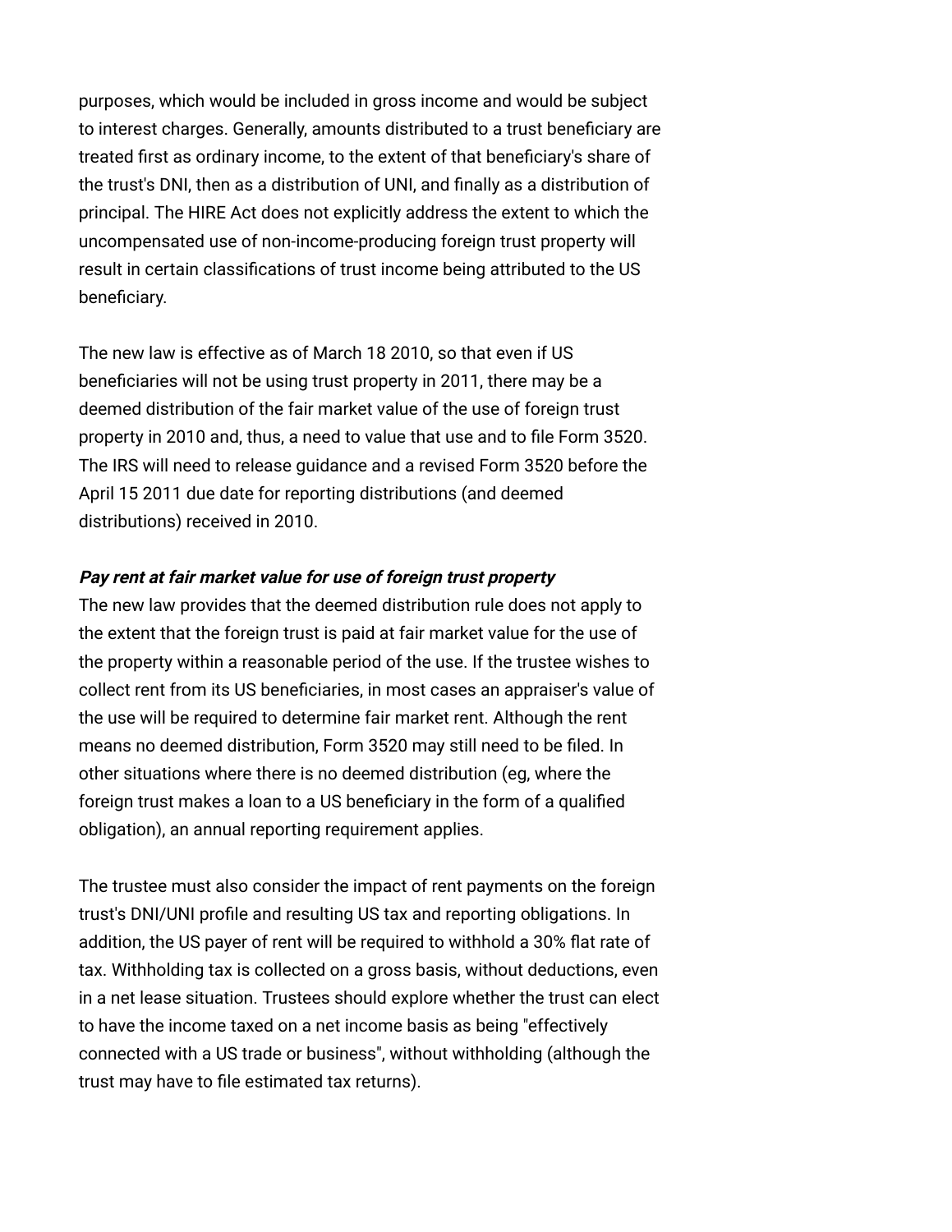purposes, which would be included in gross income and would be subject to interest charges. Generally, amounts distributed to a trust beneficiary are treated first as ordinary income, to the extent of that beneficiary's share of the trust's DNI, then as a distribution of UNI, and finally as a distribution of principal. The HIRE Act does not explicitly address the extent to which the uncompensated use of non-income-producing foreign trust property will result in certain classifications of trust income being attributed to the US beneficiary.

The new law is effective as of March 18 2010, so that even if US beneficiaries will not be using trust property in 2011, there may be a deemed distribution of the fair market value of the use of foreign trust property in 2010 and, thus, a need to value that use and to file Form 3520. The IRS will need to release guidance and a revised Form 3520 before the April 15 2011 due date for reporting distributions (and deemed distributions) received in 2010.

#### **Pay rent at fair market value for use of foreign trust property**

The new law provides that the deemed distribution rule does not apply to the extent that the foreign trust is paid at fair market value for the use of the property within a reasonable period of the use. If the trustee wishes to collect rent from its US beneficiaries, in most cases an appraiser's value of the use will be required to determine fair market rent. Although the rent means no deemed distribution, Form 3520 may still need to be filed. In other situations where there is no deemed distribution (eg, where the foreign trust makes a loan to a US beneficiary in the form of a qualified obligation), an annual reporting requirement applies.

The trustee must also consider the impact of rent payments on the foreign trust's DNI/UNI profile and resulting US tax and reporting obligations. In addition, the US payer of rent will be required to withhold a 30% flat rate of tax. Withholding tax is collected on a gross basis, without deductions, even in a net lease situation. Trustees should explore whether the trust can elect to have the income taxed on a net income basis as being "effectively connected with a US trade or business", without withholding (although the trust may have to file estimated tax returns).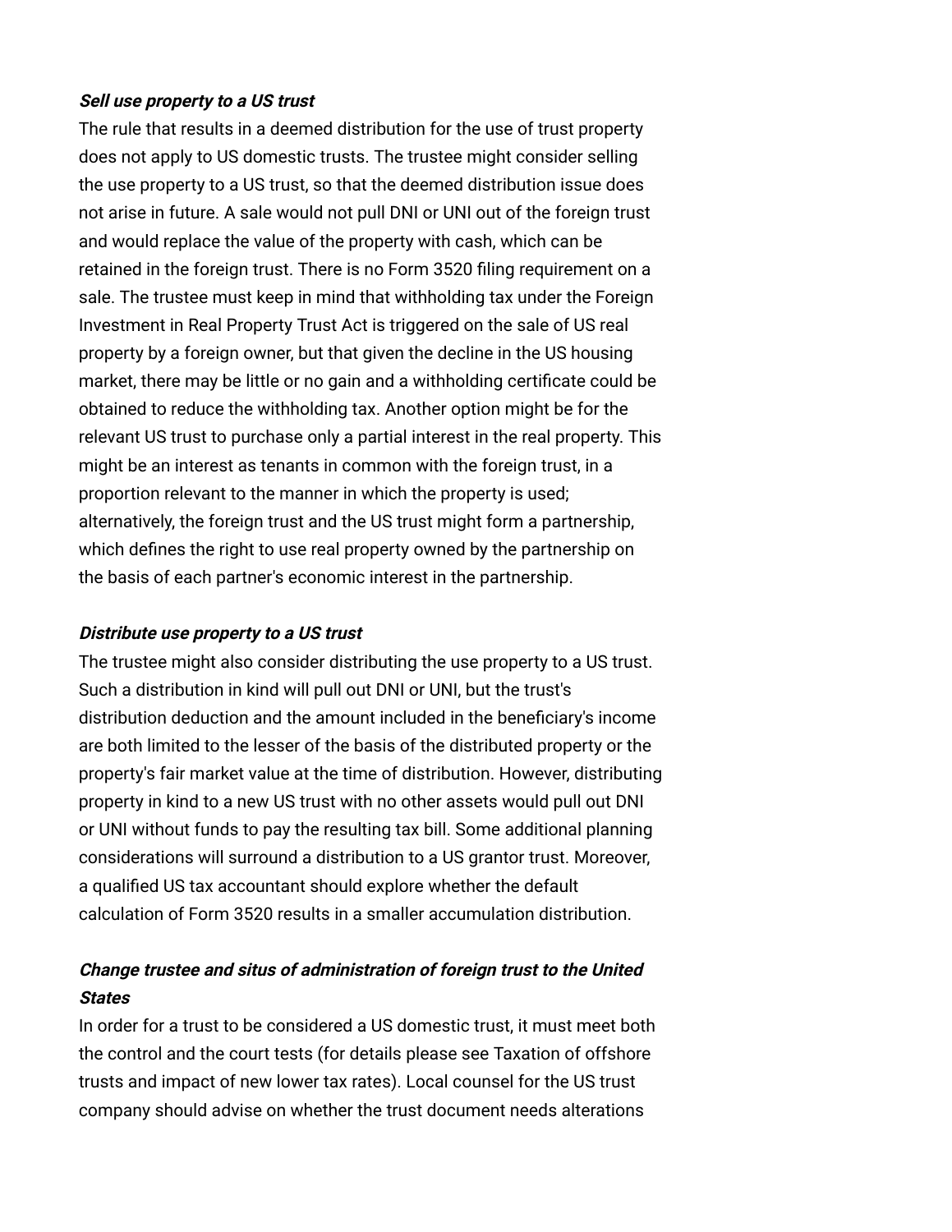#### **Sell use property to a US trust**

The rule that results in a deemed distribution for the use of trust property does not apply to US domestic trusts. The trustee might consider selling the use property to a US trust, so that the deemed distribution issue does not arise in future. A sale would not pull DNI or UNI out of the foreign trust and would replace the value of the property with cash, which can be retained in the foreign trust. There is no Form 3520 filing requirement on a sale. The trustee must keep in mind that withholding tax under the Foreign Investment in Real Property Trust Act is triggered on the sale of US real property by a foreign owner, but that given the decline in the US housing market, there may be little or no gain and a withholding certificate could be obtained to reduce the withholding tax. Another option might be for the relevant US trust to purchase only a partial interest in the real property. This might be an interest as tenants in common with the foreign trust, in a proportion relevant to the manner in which the property is used; alternatively, the foreign trust and the US trust might form a partnership, which defines the right to use real property owned by the partnership on the basis of each partner's economic interest in the partnership.

## **Distribute use property to a US trust**

The trustee might also consider distributing the use property to a US trust. Such a distribution in kind will pull out DNI or UNI, but the trust's distribution deduction and the amount included in the beneficiary's income are both limited to the lesser of the basis of the distributed property or the property's fair market value at the time of distribution. However, distributing property in kind to a new US trust with no other assets would pull out DNI or UNI without funds to pay the resulting tax bill. Some additional planning considerations will surround a distribution to a US grantor trust. Moreover, a qualified US tax accountant should explore whether the default calculation of Form 3520 results in a smaller accumulation distribution.

# **Change trustee and situs of administration of foreign trust to the United States**

In order for a trust to be considered a US domestic trust, it must meet both [the control and the court tests \(for details please see Taxation of offshore](http://www.internationallawoffice.com/Newsletters/Detail.aspx?g=fa09696c-86d8-4011-bfb3-ba66bf73c584) trusts and impact of new lower tax rates). Local counsel for the US trust company should advise on whether the trust document needs alterations